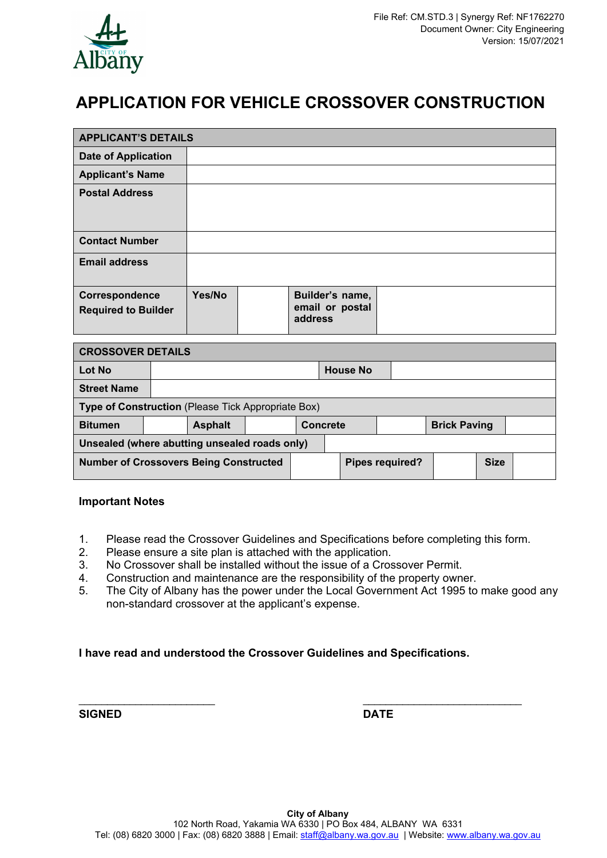

# **APPLICATION FOR VEHICLE CROSSOVER CONSTRUCTION**

| <b>APPLICANT'S DETAILS</b>                         |  |                |  |                            |                 |                 |                     |  |  |  |  |
|----------------------------------------------------|--|----------------|--|----------------------------|-----------------|-----------------|---------------------|--|--|--|--|
| <b>Date of Application</b>                         |  |                |  |                            |                 |                 |                     |  |  |  |  |
| <b>Applicant's Name</b>                            |  |                |  |                            |                 |                 |                     |  |  |  |  |
| <b>Postal Address</b>                              |  |                |  |                            |                 |                 |                     |  |  |  |  |
|                                                    |  |                |  |                            |                 |                 |                     |  |  |  |  |
| <b>Contact Number</b>                              |  |                |  |                            |                 |                 |                     |  |  |  |  |
| <b>Email address</b>                               |  |                |  |                            |                 |                 |                     |  |  |  |  |
|                                                    |  |                |  |                            |                 |                 |                     |  |  |  |  |
| Correspondence                                     |  | Yes/No         |  |                            |                 | Builder's name, |                     |  |  |  |  |
| <b>Required to Builder</b>                         |  |                |  | email or postal<br>address |                 |                 |                     |  |  |  |  |
|                                                    |  |                |  |                            |                 |                 |                     |  |  |  |  |
| <b>CROSSOVER DETAILS</b>                           |  |                |  |                            |                 |                 |                     |  |  |  |  |
| <b>Lot No</b>                                      |  |                |  |                            | <b>House No</b> |                 |                     |  |  |  |  |
| <b>Street Name</b>                                 |  |                |  |                            |                 |                 |                     |  |  |  |  |
| Type of Construction (Please Tick Appropriate Box) |  |                |  |                            |                 |                 |                     |  |  |  |  |
| <b>Bitumen</b>                                     |  | <b>Asphalt</b> |  | <b>Concrete</b>            |                 |                 | <b>Brick Paving</b> |  |  |  |  |
| Unsealed (where abutting unsealed roads only)      |  |                |  |                            |                 |                 |                     |  |  |  |  |
| <b>Number of Crossovers Being Constructed</b>      |  |                |  |                            | Pipes required? |                 | <b>Size</b>         |  |  |  |  |

#### **Important Notes**

- 1. Please read the Crossover Guidelines and Specifications before completing this form.
- 2. Please ensure a site plan is attached with the application.
- 3. No Crossover shall be installed without the issue of a Crossover Permit.
- 4. Construction and maintenance are the responsibility of the property owner.
- 5. The City of Albany has the power under the Local Government Act 1995 to make good any non-standard crossover at the applicant's expense.

#### **I have read and understood the Crossover Guidelines and Specifications.**

**SIGNED** DATE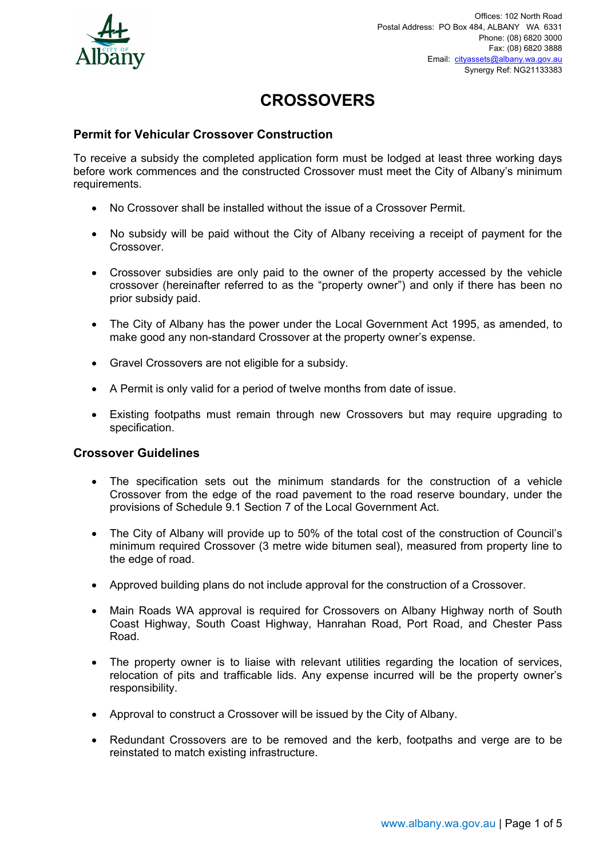

# **CROSSOVERS**

# **Permit for Vehicular Crossover Construction**

To receive a subsidy the completed application form must be lodged at least three working days before work commences and the constructed Crossover must meet the City of Albany's minimum requirements.

- No Crossover shall be installed without the issue of a Crossover Permit.
- No subsidy will be paid without the City of Albany receiving a receipt of payment for the **Crossover**
- Crossover subsidies are only paid to the owner of the property accessed by the vehicle crossover (hereinafter referred to as the "property owner") and only if there has been no prior subsidy paid.
- The City of Albany has the power under the Local Government Act 1995, as amended, to make good any non-standard Crossover at the property owner's expense.
- Gravel Crossovers are not eligible for a subsidy.
- A Permit is only valid for a period of twelve months from date of issue.
- Existing footpaths must remain through new Crossovers but may require upgrading to specification.

#### **Crossover Guidelines**

- The specification sets out the minimum standards for the construction of a vehicle Crossover from the edge of the road pavement to the road reserve boundary, under the provisions of Schedule 9.1 Section 7 of the Local Government Act.
- The City of Albany will provide up to 50% of the total cost of the construction of Council's minimum required Crossover (3 metre wide bitumen seal), measured from property line to the edge of road.
- Approved building plans do not include approval for the construction of a Crossover.
- Main Roads WA approval is required for Crossovers on Albany Highway north of South Coast Highway, South Coast Highway, Hanrahan Road, Port Road, and Chester Pass Road.
- The property owner is to liaise with relevant utilities regarding the location of services, relocation of pits and trafficable lids. Any expense incurred will be the property owner's responsibility.
- Approval to construct a Crossover will be issued by the City of Albany.
- Redundant Crossovers are to be removed and the kerb, footpaths and verge are to be reinstated to match existing infrastructure.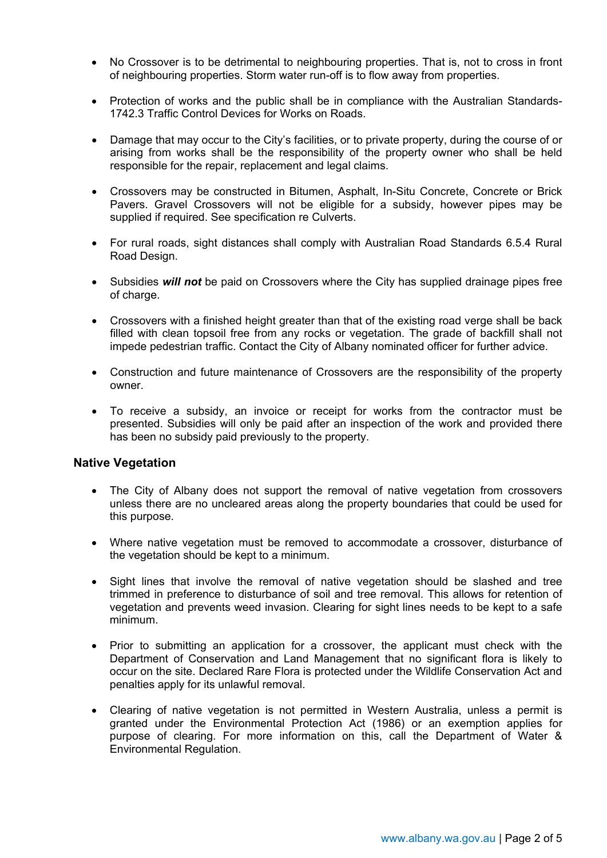- No Crossover is to be detrimental to neighbouring properties. That is, not to cross in front of neighbouring properties. Storm water run-off is to flow away from properties.
- Protection of works and the public shall be in compliance with the Australian Standards-1742.3 Traffic Control Devices for Works on Roads.
- Damage that may occur to the City's facilities, or to private property, during the course of or arising from works shall be the responsibility of the property owner who shall be held responsible for the repair, replacement and legal claims.
- Crossovers may be constructed in Bitumen, Asphalt, In-Situ Concrete, Concrete or Brick Pavers. Gravel Crossovers will not be eligible for a subsidy, however pipes may be supplied if required. See specification re Culverts.
- For rural roads, sight distances shall comply with Australian Road Standards 6.5.4 Rural Road Design.
- Subsidies *will not* be paid on Crossovers where the City has supplied drainage pipes free of charge.
- Crossovers with a finished height greater than that of the existing road verge shall be back filled with clean topsoil free from any rocks or vegetation. The grade of backfill shall not impede pedestrian traffic. Contact the City of Albany nominated officer for further advice.
- Construction and future maintenance of Crossovers are the responsibility of the property owner.
- To receive a subsidy, an invoice or receipt for works from the contractor must be presented. Subsidies will only be paid after an inspection of the work and provided there has been no subsidy paid previously to the property.

#### **Native Vegetation**

- The City of Albany does not support the removal of native vegetation from crossovers unless there are no uncleared areas along the property boundaries that could be used for this purpose.
- Where native vegetation must be removed to accommodate a crossover, disturbance of the vegetation should be kept to a minimum.
- Sight lines that involve the removal of native vegetation should be slashed and tree trimmed in preference to disturbance of soil and tree removal. This allows for retention of vegetation and prevents weed invasion. Clearing for sight lines needs to be kept to a safe minimum.
- Prior to submitting an application for a crossover, the applicant must check with the Department of Conservation and Land Management that no significant flora is likely to occur on the site. Declared Rare Flora is protected under the Wildlife Conservation Act and penalties apply for its unlawful removal.
- Clearing of native vegetation is not permitted in Western Australia, unless a permit is granted under the Environmental Protection Act (1986) or an exemption applies for purpose of clearing. For more information on this, call the Department of Water & Environmental Regulation.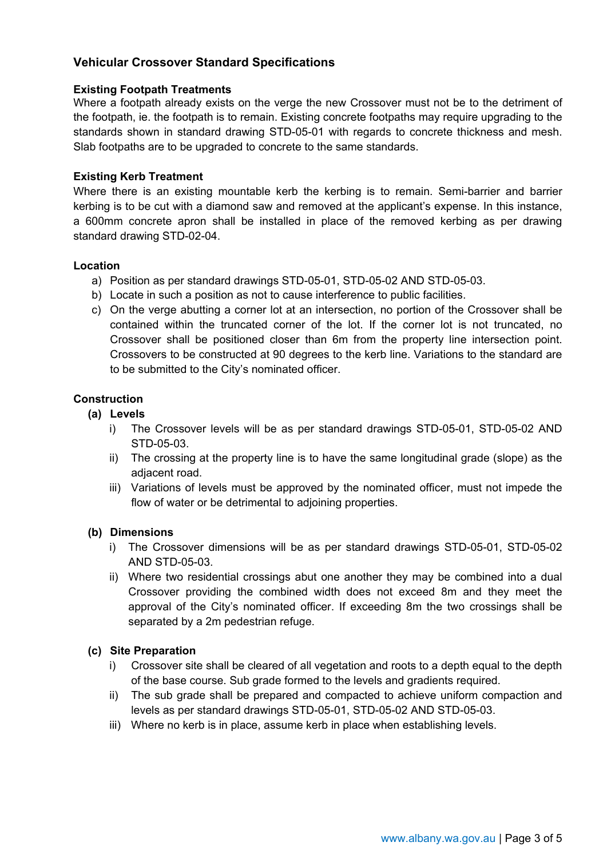# **Vehicular Crossover Standard Specifications**

#### **Existing Footpath Treatments**

Where a footpath already exists on the verge the new Crossover must not be to the detriment of the footpath, ie. the footpath is to remain. Existing concrete footpaths may require upgrading to the standards shown in standard drawing STD-05-01 with regards to concrete thickness and mesh. Slab footpaths are to be upgraded to concrete to the same standards.

#### **Existing Kerb Treatment**

Where there is an existing mountable kerb the kerbing is to remain. Semi-barrier and barrier kerbing is to be cut with a diamond saw and removed at the applicant's expense. In this instance, a 600mm concrete apron shall be installed in place of the removed kerbing as per drawing standard drawing STD-02-04.

#### **Location**

- a) Position as per standard drawings STD-05-01, STD-05-02 AND STD-05-03.
- b) Locate in such a position as not to cause interference to public facilities.
- c) On the verge abutting a corner lot at an intersection, no portion of the Crossover shall be contained within the truncated corner of the lot. If the corner lot is not truncated, no Crossover shall be positioned closer than 6m from the property line intersection point. Crossovers to be constructed at 90 degrees to the kerb line. Variations to the standard are to be submitted to the City's nominated officer.

# **Construction**

- **(a) Levels** 
	- i) The Crossover levels will be as per standard drawings STD-05-01, STD-05-02 AND STD-05-03.
	- ii) The crossing at the property line is to have the same longitudinal grade (slope) as the adjacent road.
	- iii) Variations of levels must be approved by the nominated officer, must not impede the flow of water or be detrimental to adjoining properties.

#### **(b) Dimensions**

- i) The Crossover dimensions will be as per standard drawings STD-05-01, STD-05-02 AND STD-05-03.
- ii) Where two residential crossings abut one another they may be combined into a dual Crossover providing the combined width does not exceed 8m and they meet the approval of the City's nominated officer. If exceeding 8m the two crossings shall be separated by a 2m pedestrian refuge.

#### **(c) Site Preparation**

- i) Crossover site shall be cleared of all vegetation and roots to a depth equal to the depth of the base course. Sub grade formed to the levels and gradients required.
- ii) The sub grade shall be prepared and compacted to achieve uniform compaction and levels as per standard drawings STD-05-01, STD-05-02 AND STD-05-03.
- iii) Where no kerb is in place, assume kerb in place when establishing levels.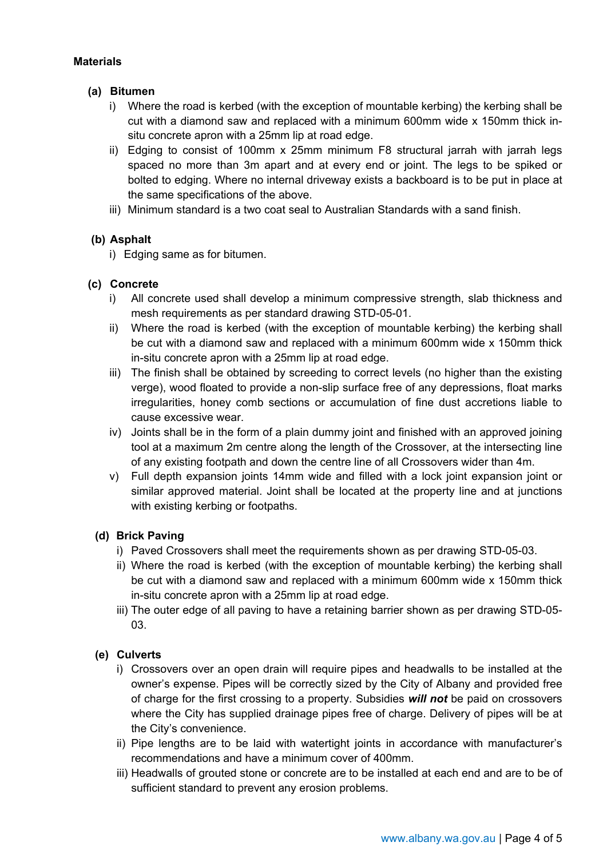# **Materials**

# **(a) Bitumen**

- i) Where the road is kerbed (with the exception of mountable kerbing) the kerbing shall be cut with a diamond saw and replaced with a minimum 600mm wide x 150mm thick insitu concrete apron with a 25mm lip at road edge.
- ii) Edging to consist of 100mm x 25mm minimum F8 structural jarrah with jarrah legs spaced no more than 3m apart and at every end or joint. The legs to be spiked or bolted to edging. Where no internal driveway exists a backboard is to be put in place at the same specifications of the above.
- iii) Minimum standard is a two coat seal to Australian Standards with a sand finish.

# **(b) Asphalt**

i) Edging same as for bitumen.

# **(c) Concrete**

- i) All concrete used shall develop a minimum compressive strength, slab thickness and mesh requirements as per standard drawing STD-05-01.
- ii) Where the road is kerbed (with the exception of mountable kerbing) the kerbing shall be cut with a diamond saw and replaced with a minimum 600mm wide x 150mm thick in-situ concrete apron with a 25mm lip at road edge.
- iii) The finish shall be obtained by screeding to correct levels (no higher than the existing verge), wood floated to provide a non-slip surface free of any depressions, float marks irregularities, honey comb sections or accumulation of fine dust accretions liable to cause excessive wear.
- iv) Joints shall be in the form of a plain dummy joint and finished with an approved joining tool at a maximum 2m centre along the length of the Crossover, at the intersecting line of any existing footpath and down the centre line of all Crossovers wider than 4m.
- v) Full depth expansion joints 14mm wide and filled with a lock joint expansion joint or similar approved material. Joint shall be located at the property line and at junctions with existing kerbing or footpaths.

#### **(d) Brick Paving**

- i) Paved Crossovers shall meet the requirements shown as per drawing STD-05-03.
- ii) Where the road is kerbed (with the exception of mountable kerbing) the kerbing shall be cut with a diamond saw and replaced with a minimum 600mm wide x 150mm thick in-situ concrete apron with a 25mm lip at road edge.
- iii) The outer edge of all paving to have a retaining barrier shown as per drawing STD-05- 03.

# **(e) Culverts**

- i) Crossovers over an open drain will require pipes and headwalls to be installed at the owner's expense. Pipes will be correctly sized by the City of Albany and provided free of charge for the first crossing to a property. Subsidies *will not* be paid on crossovers where the City has supplied drainage pipes free of charge. Delivery of pipes will be at the City's convenience.
- ii) Pipe lengths are to be laid with watertight joints in accordance with manufacturer's recommendations and have a minimum cover of 400mm.
- iii) Headwalls of grouted stone or concrete are to be installed at each end and are to be of sufficient standard to prevent any erosion problems.